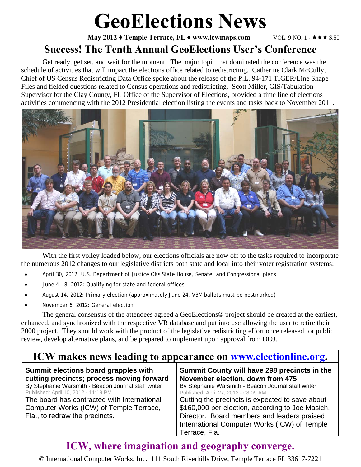# **GeoElections News**

**May 2012 ♦ Temple Terrace, FL ♦ www.icwmaps.com VOL. 9 NO. 1 - ★★★ \$.50** 

#### **Success! The Tenth Annual GeoElections User's Conference**

Get ready, get set, and wait for the moment. The major topic that dominated the conference was the schedule of activities that will impact the elections office related to redistricting. Catherine Clark McCully, Chief of US Census Redistricting Data Office spoke about the release of the P.L. 94-171 TIGER/Line Shape Files and fielded questions related to Census operations and redistricting. Scott Miller, GIS/Tabulation Supervisor for the Clay County, FL Office of the Supervisor of Elections, provided a time line of elections activities commencing with the 2012 Presidential election listing the events and tasks back to November 2011.



 With the first volley loaded below, our elections officials are now off to the tasks required to incorporate the numerous 2012 changes to our legislative districts both state and local into their voter registration systems:

- April 30, 2012: U.S. Department of Justice OKs State House, Senate, and Congressional plans
- June 4 8, 2012: Qualifying for state and federal offices
- August 14, 2012: Primary election (approximately June 24, VBM ballots must be postmarked)
- November 6, 2012: General election

 The general consensus of the attendees agreed a GeoElections® project should be created at the earliest, enhanced, and synchronized with the respective VR database and put into use allowing the user to retire their 2000 project. They should work with the product of the legislative redistricting effort once released for public review, develop alternative plans, and be prepared to implement upon approval from DOJ.

#### **ICW makes news leading to appearance on www.electionline.org.**

| Summit elections board grapples with                                                                                     | Summit County will have 298 precincts in the                                                                                                                                                                        |  |
|--------------------------------------------------------------------------------------------------------------------------|---------------------------------------------------------------------------------------------------------------------------------------------------------------------------------------------------------------------|--|
| cutting precincts; process moving forward                                                                                | November election, down from 475                                                                                                                                                                                    |  |
| By Stephanie Warsmith - Beacon Journal staff writer                                                                      | By Stephanie Warsmith - Beacon Journal staff writer                                                                                                                                                                 |  |
| Published: April 10, 2012 - 11:19 PM                                                                                     | Published: April 27, 2012 - 08:09 AM                                                                                                                                                                                |  |
| The board has contracted with International<br>Computer Works (ICW) of Temple Terrace,<br>Fla., to redraw the precincts. | Cutting the precincts is expected to save about<br>\$160,000 per election, according to Joe Masich,<br>Director. Board members and leaders praised<br>International Computer Works (ICW) of Temple<br>Terrace, Fla. |  |

### **ICW, where imagination and geography converge.**

© International Computer Works, Inc. 111 South Riverhills Drive, Temple Terrace FL 33617-7221